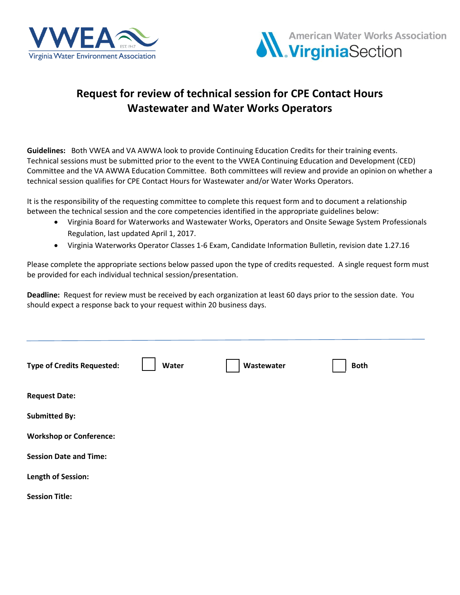



## **Request for review of technical session for CPE Contact Hours Wastewater and Water Works Operators**

**Guidelines:** Both VWEA and VA AWWA look to provide Continuing Education Credits for their training events. Technical sessions must be submitted prior to the event to the VWEA Continuing Education and Development (CED) Committee and the VA AWWA Education Committee. Both committees will review and provide an opinion on whether a technical session qualifies for CPE Contact Hours for Wastewater and/or Water Works Operators.

It is the responsibility of the requesting committee to complete this request form and to document a relationship between the technical session and the core competencies identified in the appropriate guidelines below:

- Virginia Board for Waterworks and Wastewater Works, Operators and Onsite Sewage System Professionals Regulation, last updated April 1, 2017.
- Virginia Waterworks Operator Classes 1-6 Exam, Candidate Information Bulletin, revision date 1.27.16

Please complete the appropriate sections below passed upon the type of credits requested. A single request form must be provided for each individual technical session/presentation.

**Deadline:** Request for review must be received by each organization at least 60 days prior to the session date. You should expect a response back to your request within 20 business days.

| <b>Type of Credits Requested:</b> | Water | Wastewater | <b>Both</b> |
|-----------------------------------|-------|------------|-------------|
| <b>Request Date:</b>              |       |            |             |
| <b>Submitted By:</b>              |       |            |             |
| <b>Workshop or Conference:</b>    |       |            |             |
| <b>Session Date and Time:</b>     |       |            |             |
| Length of Session:                |       |            |             |
| <b>Session Title:</b>             |       |            |             |
|                                   |       |            |             |